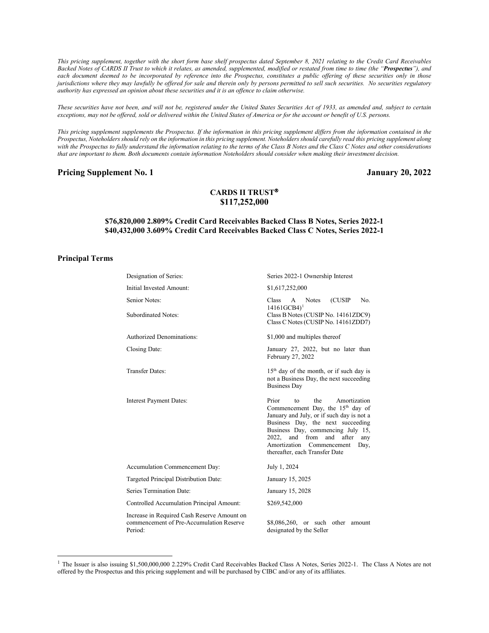*This pricing supplement, together with the short form base shelf prospectus dated September 8, 2021 relating to the Credit Card Receivables Backed Notes of CARDS II Trust to which it relates, as amended, supplemented, modified or restated from time to time (the "Prospectus"), and*  each document deemed to be incorporated by reference into the Prospectus, constitutes a public offering of these securities only in those *jurisdictions where they may lawfully be offered for sale and therein only by persons permitted to sell such securities. No securities regulatory authority has expressed an opinion about these securities and it is an offence to claim otherwise.*

*These securities have not been, and will not be, registered under the United States Securities Act of 1933, as amended and, subject to certain exceptions, may not be offered, sold or delivered within the United States of America or for the account or benefit of U.S. persons.*

*This pricing supplement supplements the Prospectus. If the information in this pricing supplement differs from the information contained in the Prospectus, Noteholders should rely on the information in this pricing supplement. Noteholders should carefully read this pricing supplement along*  with the Prospectus to fully understand the information relating to the terms of the Class B Notes and the Class C Notes and other considerations *that are important to them. Both documents contain information Noteholders should consider when making their investment decision.*

### **Pricing Supplement No. 1 January 20, 2022**

# **CARDS II TRUST \$117,252,000**

## **\$76,820,000 2.809% Credit Card Receivables Backed Class B Notes, Series 2022-1 \$40,432,000 3.609% Credit Card Receivables Backed Class C Notes, Series 2022-1**

### **Principal Terms**

| Designation of Series:                                                                             | Series 2022-1 Ownership Interest                                                                                                                                                                                                                                                                                           |  |  |
|----------------------------------------------------------------------------------------------------|----------------------------------------------------------------------------------------------------------------------------------------------------------------------------------------------------------------------------------------------------------------------------------------------------------------------------|--|--|
| Initial Invested Amount:                                                                           | \$1,617,252,000                                                                                                                                                                                                                                                                                                            |  |  |
| Senior Notes:                                                                                      | Class <sub>1</sub><br><b>Notes</b><br>(CUSIP)<br>No.<br>$\mathsf{A}$<br>$14161GCB4$ <sup>1</sup>                                                                                                                                                                                                                           |  |  |
| <b>Subordinated Notes:</b>                                                                         | Class B Notes (CUSIP No. 14161ZDC9)<br>Class C Notes (CUSIP No. 14161ZDD7)                                                                                                                                                                                                                                                 |  |  |
| <b>Authorized Denominations:</b>                                                                   | \$1,000 and multiples thereof                                                                                                                                                                                                                                                                                              |  |  |
| Closing Date:                                                                                      | January 27, 2022, but no later than<br>February 27, 2022                                                                                                                                                                                                                                                                   |  |  |
| <b>Transfer Dates:</b>                                                                             | $15th$ day of the month, or if such day is<br>not a Business Day, the next succeeding<br><b>Business Day</b>                                                                                                                                                                                                               |  |  |
| <b>Interest Payment Dates:</b>                                                                     | Prior<br>the<br>Amortization<br>to<br>Commencement Day, the 15 <sup>th</sup> day of<br>January and July, or if such day is not a<br>Business Day, the next succeeding<br>Business Day, commencing July 15,<br>2022, and from<br>and<br>after<br>any<br>Amortization Commencement<br>Day,<br>thereafter, each Transfer Date |  |  |
| Accumulation Commencement Day:                                                                     | July 1, 2024                                                                                                                                                                                                                                                                                                               |  |  |
| Targeted Principal Distribution Date:                                                              | January 15, 2025                                                                                                                                                                                                                                                                                                           |  |  |
| Series Termination Date:                                                                           | January 15, 2028                                                                                                                                                                                                                                                                                                           |  |  |
| Controlled Accumulation Principal Amount:                                                          | \$269,542,000                                                                                                                                                                                                                                                                                                              |  |  |
| Increase in Required Cash Reserve Amount on<br>commencement of Pre-Accumulation Reserve<br>Period: | \$8,086,260, or such other amount<br>designated by the Seller                                                                                                                                                                                                                                                              |  |  |

<span id="page-0-0"></span><sup>&</sup>lt;sup>1</sup> The Issuer is also issuing \$1,500,000,000 2.229% Credit Card Receivables Backed Class A Notes, Series 2022-1. The Class A Notes are not offered by the Prospectus and this pricing supplement and will be purchased by CIBC and/or any of its affiliates.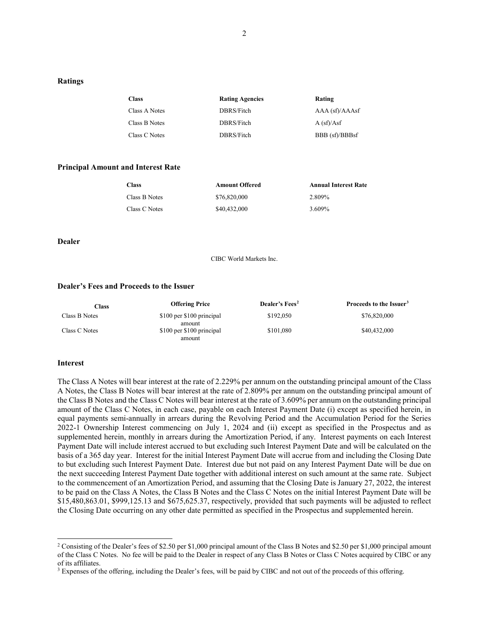#### **Ratings**

| <b>Class</b>  | <b>Rating Agencies</b> | Rating              |
|---------------|------------------------|---------------------|
| Class A Notes | DBRS/Fitch             | $AAA$ (sf)/ $AA$ sf |
| Class B Notes | DBRS/Fitch             | A(sf)/Asf           |
| Class C Notes | DBRS/Fitch             | BBB (sf)/BBBsf      |

#### **Principal Amount and Interest Rate**

| Class         | <b>Amount Offered</b> | <b>Annual Interest Rate</b> |
|---------------|-----------------------|-----------------------------|
| Class B Notes | \$76,820,000          | 2.809%                      |
| Class C Notes | \$40,432,000          | 3.609%                      |

**Dealer**

CIBC World Markets Inc.

#### **Dealer's Fees and Proceeds to the Issuer**

| Class         | <b>Offering Price</b>               | Dealer's Fees <sup>2</sup> | Proceeds to the Issuer <sup>3</sup> |
|---------------|-------------------------------------|----------------------------|-------------------------------------|
| Class B Notes | \$100 per \$100 principal<br>amount | \$192,050                  | \$76,820,000                        |
| Class C Notes | \$100 per \$100 principal<br>amount | \$101,080                  | \$40,432,000                        |

#### **Interest**

The Class A Notes will bear interest at the rate of 2.229% per annum on the outstanding principal amount of the Class A Notes, the Class B Notes will bear interest at the rate of 2.809% per annum on the outstanding principal amount of the Class B Notes and the Class C Notes will bear interest at the rate of 3.609% per annum on the outstanding principal amount of the Class C Notes, in each case, payable on each Interest Payment Date (i) except as specified herein, in equal payments semi-annually in arrears during the Revolving Period and the Accumulation Period for the Series 2022-1 Ownership Interest commencing on July 1, 2024 and (ii) except as specified in the Prospectus and as supplemented herein, monthly in arrears during the Amortization Period, if any. Interest payments on each Interest Payment Date will include interest accrued to but excluding such Interest Payment Date and will be calculated on the basis of a 365 day year. Interest for the initial Interest Payment Date will accrue from and including the Closing Date to but excluding such Interest Payment Date. Interest due but not paid on any Interest Payment Date will be due on the next succeeding Interest Payment Date together with additional interest on such amount at the same rate. Subject to the commencement of an Amortization Period, and assuming that the Closing Date is January 27, 2022, the interest to be paid on the Class A Notes, the Class B Notes and the Class C Notes on the initial Interest Payment Date will be \$15,480,863.01, \$999,125.13 and \$675,625.37, respectively, provided that such payments will be adjusted to reflect the Closing Date occurring on any other date permitted as specified in the Prospectus and supplemented herein.

<span id="page-1-0"></span><sup>&</sup>lt;sup>2</sup> Consisting of the Dealer's fees of \$2.50 per \$1,000 principal amount of the Class B Notes and \$2.50 per \$1,000 principal amount of the Class C Notes. No fee will be paid to the Dealer in respect of any Class B Notes or Class C Notes acquired by CIBC or any of its affiliates.

<span id="page-1-1"></span><sup>&</sup>lt;sup>3</sup> Expenses of the offering, including the Dealer's fees, will be paid by CIBC and not out of the proceeds of this offering.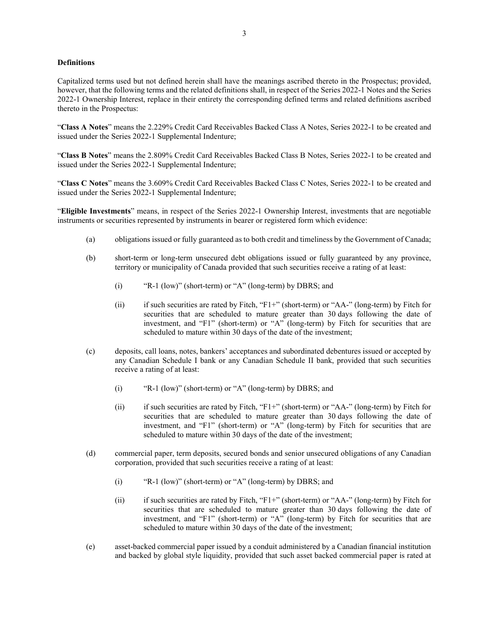## **Definitions**

Capitalized terms used but not defined herein shall have the meanings ascribed thereto in the Prospectus; provided, however, that the following terms and the related definitions shall, in respect of the Series 2022-1 Notes and the Series 2022-1 Ownership Interest, replace in their entirety the corresponding defined terms and related definitions ascribed thereto in the Prospectus:

"**Class A Notes**" means the 2.229% Credit Card Receivables Backed Class A Notes, Series 2022-1 to be created and issued under the Series 2022-1 Supplemental Indenture;

"**Class B Notes**" means the 2.809% Credit Card Receivables Backed Class B Notes, Series 2022-1 to be created and issued under the Series 2022-1 Supplemental Indenture;

"**Class C Notes**" means the 3.609% Credit Card Receivables Backed Class C Notes, Series 2022-1 to be created and issued under the Series 2022-1 Supplemental Indenture;

"**Eligible Investments**" means, in respect of the Series 2022-1 Ownership Interest, investments that are negotiable instruments or securities represented by instruments in bearer or registered form which evidence:

- (a) obligations issued or fully guaranteed as to both credit and timeliness by the Government of Canada;
- (b) short-term or long-term unsecured debt obligations issued or fully guaranteed by any province, territory or municipality of Canada provided that such securities receive a rating of at least:
	- (i) "R-1 (low)" (short-term) or "A" (long-term) by DBRS; and
	- (ii) if such securities are rated by Fitch, "F1+" (short-term) or "AA-" (long-term) by Fitch for securities that are scheduled to mature greater than 30 days following the date of investment, and "F1" (short-term) or "A" (long-term) by Fitch for securities that are scheduled to mature within 30 days of the date of the investment;
- (c) deposits, call loans, notes, bankers' acceptances and subordinated debentures issued or accepted by any Canadian Schedule I bank or any Canadian Schedule II bank, provided that such securities receive a rating of at least:
	- (i) "R-1 (low)" (short-term) or "A" (long-term) by DBRS; and
	- (ii) if such securities are rated by Fitch, "F1+" (short-term) or "AA-" (long-term) by Fitch for securities that are scheduled to mature greater than 30 days following the date of investment, and "F1" (short-term) or "A" (long-term) by Fitch for securities that are scheduled to mature within 30 days of the date of the investment;
- (d) commercial paper, term deposits, secured bonds and senior unsecured obligations of any Canadian corporation, provided that such securities receive a rating of at least:
	- (i) "R-1 (low)" (short-term) or "A" (long-term) by DBRS; and
	- (ii) if such securities are rated by Fitch, "F1+" (short-term) or "AA-" (long-term) by Fitch for securities that are scheduled to mature greater than 30 days following the date of investment, and "F1" (short-term) or "A" (long-term) by Fitch for securities that are scheduled to mature within 30 days of the date of the investment;
- (e) asset-backed commercial paper issued by a conduit administered by a Canadian financial institution and backed by global style liquidity, provided that such asset backed commercial paper is rated at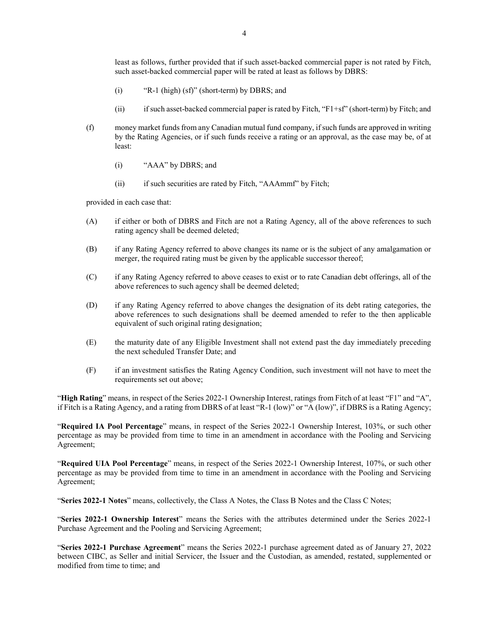least as follows, further provided that if such asset-backed commercial paper is not rated by Fitch, such asset-backed commercial paper will be rated at least as follows by DBRS:

- (i) "R-1 (high) (sf)" (short-term) by DBRS; and
- (ii) if such asset-backed commercial paper is rated by Fitch, "F1+sf" (short-term) by Fitch; and
- (f) money market funds from any Canadian mutual fund company, if such funds are approved in writing by the Rating Agencies, or if such funds receive a rating or an approval, as the case may be, of at least:
	- (i) "AAA" by DBRS; and
	- (ii) if such securities are rated by Fitch, "AAAmmf" by Fitch;

provided in each case that:

- (A) if either or both of DBRS and Fitch are not a Rating Agency, all of the above references to such rating agency shall be deemed deleted;
- (B) if any Rating Agency referred to above changes its name or is the subject of any amalgamation or merger, the required rating must be given by the applicable successor thereof;
- (C) if any Rating Agency referred to above ceases to exist or to rate Canadian debt offerings, all of the above references to such agency shall be deemed deleted;
- (D) if any Rating Agency referred to above changes the designation of its debt rating categories, the above references to such designations shall be deemed amended to refer to the then applicable equivalent of such original rating designation;
- (E) the maturity date of any Eligible Investment shall not extend past the day immediately preceding the next scheduled Transfer Date; and
- (F) if an investment satisfies the Rating Agency Condition, such investment will not have to meet the requirements set out above;

"**High Rating**" means, in respect of the Series 2022-1 Ownership Interest, ratings from Fitch of at least "F1" and "A", if Fitch is a Rating Agency, and a rating from DBRS of at least "R-1 (low)" or "A (low)", if DBRS is a Rating Agency;

"**Required IA Pool Percentage**" means, in respect of the Series 2022-1 Ownership Interest, 103%, or such other percentage as may be provided from time to time in an amendment in accordance with the Pooling and Servicing Agreement;

"**Required UIA Pool Percentage**" means, in respect of the Series 2022-1 Ownership Interest, 107%, or such other percentage as may be provided from time to time in an amendment in accordance with the Pooling and Servicing Agreement;

"**Series 2022-1 Notes**" means, collectively, the Class A Notes, the Class B Notes and the Class C Notes;

"**Series 2022-1 Ownership Interest**" means the Series with the attributes determined under the Series 2022-1 Purchase Agreement and the Pooling and Servicing Agreement;

"**Series 2022-1 Purchase Agreement**" means the Series 2022-1 purchase agreement dated as of January 27, 2022 between CIBC, as Seller and initial Servicer, the Issuer and the Custodian, as amended, restated, supplemented or modified from time to time; and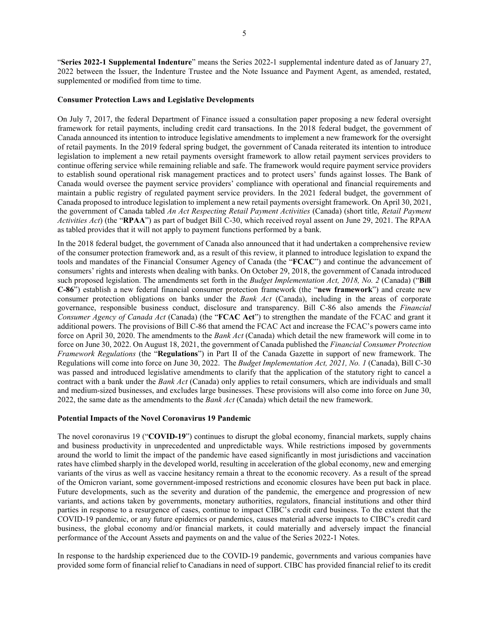"**Series 2022-1 Supplemental Indenture**" means the Series 2022-1 supplemental indenture dated as of January 27, 2022 between the Issuer, the Indenture Trustee and the Note Issuance and Payment Agent, as amended, restated, supplemented or modified from time to time.

## **Consumer Protection Laws and Legislative Developments**

On July 7, 2017, the federal Department of Finance issued a consultation paper proposing a new federal oversight framework for retail payments, including credit card transactions. In the 2018 federal budget, the government of Canada announced its intention to introduce legislative amendments to implement a new framework for the oversight of retail payments. In the 2019 federal spring budget, the government of Canada reiterated its intention to introduce legislation to implement a new retail payments oversight framework to allow retail payment services providers to continue offering service while remaining reliable and safe. The framework would require payment service providers to establish sound operational risk management practices and to protect users' funds against losses. The Bank of Canada would oversee the payment service providers' compliance with operational and financial requirements and maintain a public registry of regulated payment service providers. In the 2021 federal budget, the government of Canada proposed to introduce legislation to implement a new retail payments oversight framework. On April 30, 2021, the government of Canada tabled *An Act Respecting Retail Payment Activities* (Canada) (short title, *Retail Payment Activities Act*) (the "**RPAA**") as part of budget Bill C-30, which received royal assent on June 29, 2021. The RPAA as tabled provides that it will not apply to payment functions performed by a bank.

In the 2018 federal budget, the government of Canada also announced that it had undertaken a comprehensive review of the consumer protection framework and, as a result of this review, it planned to introduce legislation to expand the tools and mandates of the Financial Consumer Agency of Canada (the "**FCAC**") and continue the advancement of consumers' rights and interests when dealing with banks. On October 29, 2018, the government of Canada introduced such proposed legislation. The amendments set forth in the *Budget Implementation Act, 2018, No. 2* (Canada) ("**Bill C-86**") establish a new federal financial consumer protection framework (the "**new framework**") and create new consumer protection obligations on banks under the *Bank Act* (Canada), including in the areas of corporate governance, responsible business conduct, disclosure and transparency. Bill C-86 also amends the *Financial Consumer Agency of Canada Act* (Canada) (the "**FCAC Act**") to strengthen the mandate of the FCAC and grant it additional powers. The provisions of Bill C-86 that amend the FCAC Act and increase the FCAC's powers came into force on April 30, 2020. The amendments to the *Bank Act* (Canada) which detail the new framework will come in to force on June 30, 2022. On August 18, 2021, the government of Canada published the *Financial Consumer Protection Framework Regulations* (the "**Regulations**") in Part II of the Canada Gazette in support of new framework. The Regulations will come into force on June 30, 2022. The *Budget Implementation Act, 2021, No. 1* (Canada), Bill C-30 was passed and introduced legislative amendments to clarify that the application of the statutory right to cancel a contract with a bank under the *Bank Act* (Canada) only applies to retail consumers, which are individuals and small and medium-sized businesses, and excludes large businesses. These provisions will also come into force on June 30, 2022, the same date as the amendments to the *Bank Act* (Canada) which detail the new framework.

## **Potential Impacts of the Novel Coronavirus 19 Pandemic**

The novel coronavirus 19 ("**COVID-19**") continues to disrupt the global economy, financial markets, supply chains and business productivity in unprecedented and unpredictable ways. While restrictions imposed by governments around the world to limit the impact of the pandemic have eased significantly in most jurisdictions and vaccination rates have climbed sharply in the developed world, resulting in acceleration of the global economy, new and emerging variants of the virus as well as vaccine hesitancy remain a threat to the economic recovery. As a result of the spread of the Omicron variant, some government-imposed restrictions and economic closures have been put back in place. Future developments, such as the severity and duration of the pandemic, the emergence and progression of new variants, and actions taken by governments, monetary authorities, regulators, financial institutions and other third parties in response to a resurgence of cases, continue to impact CIBC's credit card business. To the extent that the COVID-19 pandemic, or any future epidemics or pandemics, causes material adverse impacts to CIBC's credit card business, the global economy and/or financial markets, it could materially and adversely impact the financial performance of the Account Assets and payments on and the value of the Series 2022-1 Notes.

In response to the hardship experienced due to the COVID-19 pandemic, governments and various companies have provided some form of financial relief to Canadians in need of support. CIBC has provided financial relief to its credit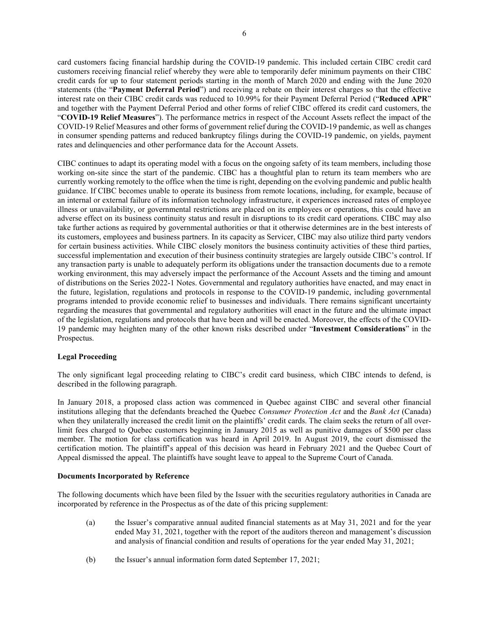card customers facing financial hardship during the COVID-19 pandemic. This included certain CIBC credit card customers receiving financial relief whereby they were able to temporarily defer minimum payments on their CIBC credit cards for up to four statement periods starting in the month of March 2020 and ending with the June 2020 statements (the "**Payment Deferral Period**") and receiving a rebate on their interest charges so that the effective interest rate on their CIBC credit cards was reduced to 10.99% for their Payment Deferral Period ("**Reduced APR**" and together with the Payment Deferral Period and other forms of relief CIBC offered its credit card customers, the "**COVID-19 Relief Measures**"). The performance metrics in respect of the Account Assets reflect the impact of the COVID-19 Relief Measures and other forms of government relief during the COVID-19 pandemic, as well as changes in consumer spending patterns and reduced bankruptcy filings during the COVID-19 pandemic, on yields, payment rates and delinquencies and other performance data for the Account Assets.

CIBC continues to adapt its operating model with a focus on the ongoing safety of its team members, including those working on-site since the start of the pandemic. CIBC has a thoughtful plan to return its team members who are currently working remotely to the office when the time is right, depending on the evolving pandemic and public health guidance. If CIBC becomes unable to operate its business from remote locations, including, for example, because of an internal or external failure of its information technology infrastructure, it experiences increased rates of employee illness or unavailability, or governmental restrictions are placed on its employees or operations, this could have an adverse effect on its business continuity status and result in disruptions to its credit card operations. CIBC may also take further actions as required by governmental authorities or that it otherwise determines are in the best interests of its customers, employees and business partners. In its capacity as Servicer, CIBC may also utilize third party vendors for certain business activities. While CIBC closely monitors the business continuity activities of these third parties, successful implementation and execution of their business continuity strategies are largely outside CIBC's control. If any transaction party is unable to adequately perform its obligations under the transaction documents due to a remote working environment, this may adversely impact the performance of the Account Assets and the timing and amount of distributions on the Series 2022-1 Notes. Governmental and regulatory authorities have enacted, and may enact in the future, legislation, regulations and protocols in response to the COVID-19 pandemic, including governmental programs intended to provide economic relief to businesses and individuals. There remains significant uncertainty regarding the measures that governmental and regulatory authorities will enact in the future and the ultimate impact of the legislation, regulations and protocols that have been and will be enacted. Moreover, the effects of the COVID-19 pandemic may heighten many of the other known risks described under "**Investment Considerations**" in the Prospectus.

# **Legal Proceeding**

The only significant legal proceeding relating to CIBC's credit card business, which CIBC intends to defend, is described in the following paragraph.

In January 2018, a proposed class action was commenced in Quebec against CIBC and several other financial institutions alleging that the defendants breached the Quebec *Consumer Protection Act* and the *Bank Act* (Canada) when they unilaterally increased the credit limit on the plaintiffs' credit cards. The claim seeks the return of all overlimit fees charged to Quebec customers beginning in January 2015 as well as punitive damages of \$500 per class member. The motion for class certification was heard in April 2019. In August 2019, the court dismissed the certification motion. The plaintiff's appeal of this decision was heard in February 2021 and the Quebec Court of Appeal dismissed the appeal. The plaintiffs have sought leave to appeal to the Supreme Court of Canada.

## **Documents Incorporated by Reference**

The following documents which have been filed by the Issuer with the securities regulatory authorities in Canada are incorporated by reference in the Prospectus as of the date of this pricing supplement:

- (a) the Issuer's comparative annual audited financial statements as at May 31, 2021 and for the year ended May 31, 2021, together with the report of the auditors thereon and management's discussion and analysis of financial condition and results of operations for the year ended May 31, 2021;
- (b) the Issuer's annual information form dated September 17, 2021;